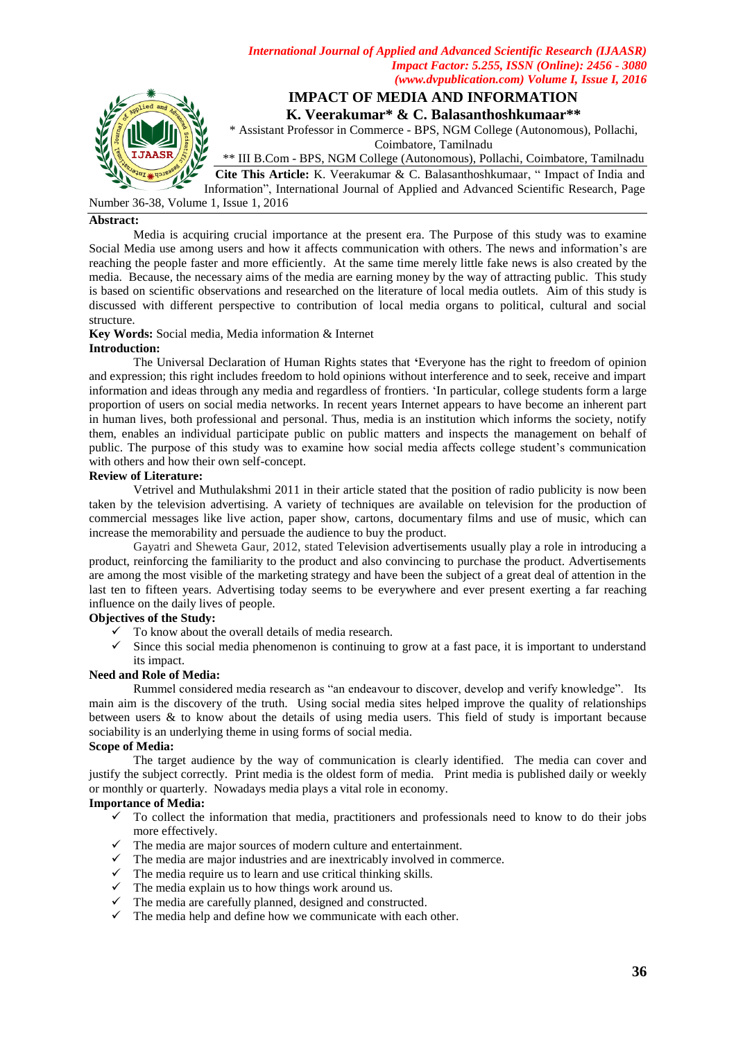*International Journal of Applied and Advanced Scientific Research (IJAASR) Impact Factor: 5.255, ISSN (Online): 2456 - 3080 (www.dvpublication.com) Volume I, Issue I, 2016*



Number 36-38, Volume 1, Issue 1, 2016

#### **Abstract:**

Media is acquiring crucial importance at the present era. The Purpose of this study was to examine Social Media use among users and how it affects communication with others. The news and information"s are reaching the people faster and more efficiently. At the same time merely little fake news is also created by the media. Because, the necessary aims of the media are earning money by the way of attracting public. This study is based on scientific observations and researched on the literature of local media outlets. Aim of this study is discussed with different perspective to contribution of local media organs to political, cultural and social structure.

**Key Words:** Social media, Media information & Internet

### **Introduction:**

The Universal Declaration of Human Rights states that **'**Everyone has the right to freedom of opinion and expression; this right includes freedom to hold opinions without interference and to seek, receive and impart information and ideas through any media and regardless of frontiers. "In particular, college students form a large proportion of users on social media networks. In recent years Internet appears to have become an inherent part in human lives, both professional and personal. Thus, media is an institution which informs the society, notify them, enables an individual participate public on public matters and inspects the management on behalf of public. The purpose of this study was to examine how social media affects college student"s communication with others and how their own self-concept.

#### **Review of Literature:**

Vetrivel and Muthulakshmi 2011 in their article stated that the position of radio publicity is now been taken by the television advertising. A variety of techniques are available on television for the production of commercial messages like live action, paper show, cartons, documentary films and use of music, which can increase the memorability and persuade the audience to buy the product.

Gayatri and Sheweta Gaur, 2012, stated Television advertisements usually play a role in introducing a product, reinforcing the familiarity to the product and also convincing to purchase the product. Advertisements are among the most visible of the marketing strategy and have been the subject of a great deal of attention in the last ten to fifteen years. Advertising today seems to be everywhere and ever present exerting a far reaching influence on the daily lives of people.

# **Objectives of the Study:**

- To know about the overall details of media research.
- $\checkmark$  Since this social media phenomenon is continuing to grow at a fast pace, it is important to understand its impact.

## **Need and Role of Media:**

Rummel considered media research as "an endeavour to discover, develop and verify knowledge". Its main aim is the discovery of the truth. Using social media sites helped improve the quality of relationships between users & to know about the details of using media users. This field of study is important because sociability is an underlying theme in using forms of social media.

#### **Scope of Media:**

The target audience by the way of communication is clearly identified. The media can cover and justify the subject correctly. Print media is the oldest form of media. Print media is published daily or weekly or monthly or quarterly. Nowadays media plays a vital role in economy.

# **Importance of Media:**

- $\checkmark$  To collect the information that media, practitioners and professionals need to know to do their jobs more effectively.
- $\checkmark$  The media are major sources of modern culture and entertainment.
- The media are major sources or modern cannon and contribute in commerce.
- $\checkmark$  The media require us to learn and use critical thinking skills.
- $\checkmark$  The media explain us to how things work around us.
- $\checkmark$  The media are carefully planned, designed and constructed.
- $\checkmark$  The media help and define how we communicate with each other.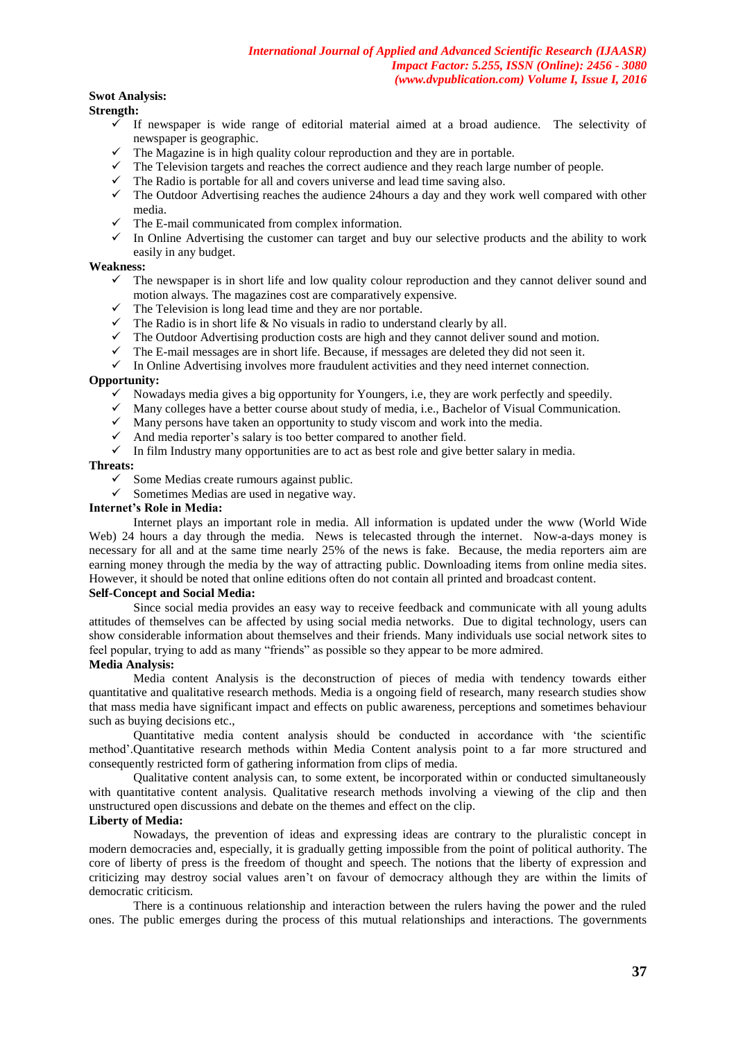# **Swot Analysis:**

**Strength:**

- $\checkmark$  If newspaper is wide range of editorial material aimed at a broad audience. The selectivity of newspaper is geographic.
- $\checkmark$  The Magazine is in high quality colour reproduction and they are in portable.
- $\checkmark$  The Television targets and reaches the correct audience and they reach large number of people.
- $\checkmark$  The Radio is portable for all and covers universe and lead time saving also.
- $\checkmark$  The Outdoor Advertising reaches the audience 24hours a day and they work well compared with other media.
- $\checkmark$  The E-mail communicated from complex information.
- $\checkmark$  In Online Advertising the customer can target and buy our selective products and the ability to work easily in any budget.

## **Weakness:**

- $\checkmark$  The newspaper is in short life and low quality colour reproduction and they cannot deliver sound and motion always. The magazines cost are comparatively expensive.
- $\checkmark$  The Television is long lead time and they are nor portable.
- $\checkmark$  The Radio is in short life & No visuals in radio to understand clearly by all.
- $\checkmark$  The Outdoor Advertising production costs are high and they cannot deliver sound and motion.
- $\checkmark$  The E-mail messages are in short life. Because, if messages are deleted they did not seen it.
- $\checkmark$  In Online Advertising involves more fraudulent activities and they need internet connection.

## **Opportunity:**

- $\checkmark$  Nowadays media gives a big opportunity for Youngers, i.e, they are work perfectly and speedily.
- $\checkmark$  Many colleges have a better course about study of media, i.e., Bachelor of Visual Communication.
- $\checkmark$  Many persons have taken an opportunity to study viscom and work into the media.
- $\checkmark$  And media reporter's salary is too better compared to another field.
- $\checkmark$  In film Industry many opportunities are to act as best role and give better salary in media.

### **Threats:**

- $\checkmark$  Some Medias create rumours against public.
- $\checkmark$  Sometimes Medias are used in negative way.

# **Internet's Role in Media:**

Internet plays an important role in media. All information is updated under the www (World Wide Web) 24 hours a day through the media. News is telecasted through the internet. Now-a-days money is necessary for all and at the same time nearly 25% of the news is fake. Because, the media reporters aim are earning money through the media by the way of attracting public. Downloading items from online media sites. However, it should be noted that online editions often do not contain all printed and broadcast content.

## **Self-Concept and Social Media:**

Since social media provides an easy way to receive feedback and communicate with all young adults attitudes of themselves can be affected by using social media networks. Due to digital technology, users can show considerable information about themselves and their friends. Many individuals use social network sites to feel popular, trying to add as many "friends" as possible so they appear to be more admired.

#### **Media Analysis:**

Media content Analysis is the deconstruction of pieces of media with tendency towards either quantitative and qualitative research methods. Media is a ongoing field of research, many research studies show that mass media have significant impact and effects on public awareness, perceptions and sometimes behaviour such as buying decisions etc.,

Quantitative media content analysis should be conducted in accordance with "the scientific method".Quantitative research methods within Media Content analysis point to a far more structured and consequently restricted form of gathering information from clips of media.

 Qualitative content analysis can, to some extent, be incorporated within or conducted simultaneously with quantitative content analysis. Qualitative research methods involving a viewing of the clip and then unstructured open discussions and debate on the themes and effect on the clip.

## **Liberty of Media:**

Nowadays, the prevention of ideas and expressing ideas are contrary to the pluralistic concept in modern democracies and, especially, it is gradually getting impossible from the point of political authority. The core of liberty of press is the freedom of thought and speech. The notions that the liberty of expression and criticizing may destroy social values aren"t on favour of democracy although they are within the limits of democratic criticism.

There is a continuous relationship and interaction between the rulers having the power and the ruled ones. The public emerges during the process of this mutual relationships and interactions. The governments